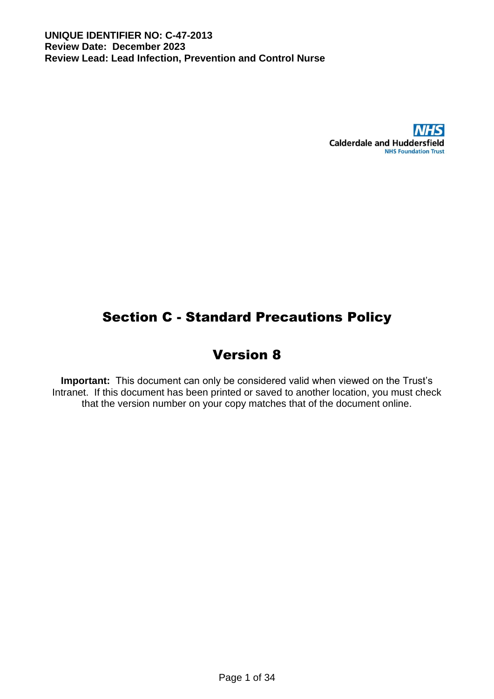

# Section C - Standard Precautions Policy

# Version 8

**Important:** This document can only be considered valid when viewed on the Trust's Intranet. If this document has been printed or saved to another location, you must check that the version number on your copy matches that of the document online.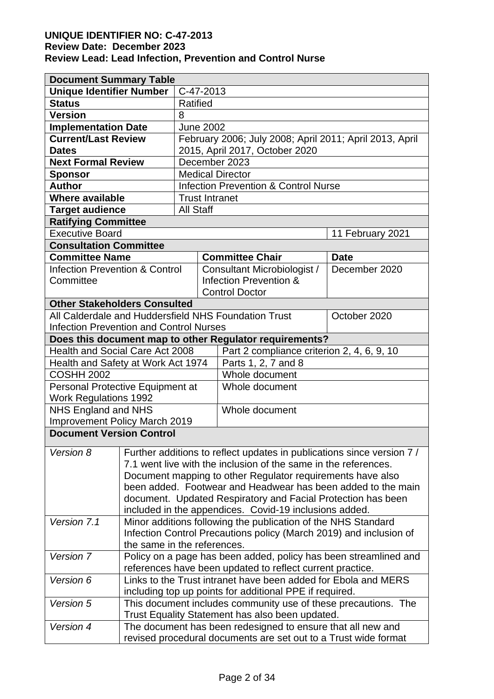# **UNIQUE IDENTIFIER NO: C-47-2013**

# **Review Date: December 2023**

**Review Lead: Lead Infection, Prevention and Control Nurse**

| <b>Document Summary Table</b>                                                       |                                                                |                  |                  |                                                                    |                  |
|-------------------------------------------------------------------------------------|----------------------------------------------------------------|------------------|------------------|--------------------------------------------------------------------|------------------|
| <b>Unique Identifier Number</b>                                                     | C-47-2013                                                      |                  |                  |                                                                    |                  |
| <b>Status</b>                                                                       | Ratified                                                       |                  |                  |                                                                    |                  |
| <b>Version</b>                                                                      |                                                                | 8                |                  |                                                                    |                  |
| <b>Implementation Date</b>                                                          |                                                                |                  | <b>June 2002</b> |                                                                    |                  |
| <b>Current/Last Review</b>                                                          |                                                                |                  |                  | February 2006; July 2008; April 2011; April 2013, April            |                  |
| <b>Dates</b>                                                                        |                                                                |                  |                  | 2015, April 2017, October 2020                                     |                  |
| <b>Next Formal Review</b>                                                           |                                                                |                  |                  | December 2023                                                      |                  |
| <b>Sponsor</b>                                                                      |                                                                |                  |                  | <b>Medical Director</b>                                            |                  |
| <b>Author</b>                                                                       |                                                                |                  |                  | <b>Infection Prevention &amp; Control Nurse</b>                    |                  |
| <b>Where available</b>                                                              |                                                                |                  |                  | <b>Trust Intranet</b>                                              |                  |
| <b>Target audience</b>                                                              |                                                                | <b>All Staff</b> |                  |                                                                    |                  |
| <b>Ratifying Committee</b>                                                          |                                                                |                  |                  |                                                                    |                  |
| <b>Executive Board</b>                                                              |                                                                |                  |                  |                                                                    | 11 February 2021 |
| <b>Consultation Committee</b>                                                       |                                                                |                  |                  |                                                                    |                  |
| <b>Committee Name</b>                                                               |                                                                |                  |                  | <b>Committee Chair</b>                                             | <b>Date</b>      |
| <b>Infection Prevention &amp; Control</b>                                           |                                                                |                  |                  | Consultant Microbiologist /                                        | December 2020    |
| Committee                                                                           |                                                                |                  |                  | Infection Prevention &                                             |                  |
|                                                                                     |                                                                |                  |                  | <b>Control Doctor</b>                                              |                  |
| <b>Other Stakeholders Consulted</b>                                                 |                                                                |                  |                  |                                                                    |                  |
|                                                                                     |                                                                |                  |                  | All Calderdale and Huddersfield NHS Foundation Trust               | October 2020     |
| <b>Infection Prevention and Control Nurses</b>                                      |                                                                |                  |                  |                                                                    |                  |
|                                                                                     |                                                                |                  |                  | Does this document map to other Regulator requirements?            |                  |
| Health and Social Care Act 2008                                                     |                                                                |                  |                  | Part 2 compliance criterion 2, 4, 6, 9, 10                         |                  |
| Health and Safety at Work Act 1974                                                  |                                                                |                  |                  | Parts 1, 2, 7 and 8                                                |                  |
| <b>COSHH 2002</b><br>Whole document                                                 |                                                                |                  |                  |                                                                    |                  |
| Personal Protective Equipment at<br>Whole document                                  |                                                                |                  |                  |                                                                    |                  |
| <b>Work Regulations 1992</b>                                                        |                                                                |                  |                  |                                                                    |                  |
| NHS England and NHS<br>Whole document                                               |                                                                |                  |                  |                                                                    |                  |
| <b>Improvement Policy March 2019</b>                                                |                                                                |                  |                  |                                                                    |                  |
| <b>Document Version Control</b>                                                     |                                                                |                  |                  |                                                                    |                  |
| Version 8<br>Further additions to reflect updates in publications since version 7 / |                                                                |                  |                  |                                                                    |                  |
|                                                                                     |                                                                |                  |                  | 7.1 went live with the inclusion of the same in the references.    |                  |
|                                                                                     | Document mapping to other Regulator requirements have also     |                  |                  |                                                                    |                  |
|                                                                                     |                                                                |                  |                  | been added. Footwear and Headwear has been added to the main       |                  |
|                                                                                     | document. Updated Respiratory and Facial Protection has been   |                  |                  |                                                                    |                  |
|                                                                                     | included in the appendices. Covid-19 inclusions added.         |                  |                  |                                                                    |                  |
| Version 7.1                                                                         |                                                                |                  |                  | Minor additions following the publication of the NHS Standard      |                  |
|                                                                                     |                                                                |                  |                  | Infection Control Precautions policy (March 2019) and inclusion of |                  |
|                                                                                     | the same in the references.                                    |                  |                  |                                                                    |                  |
| Version 7                                                                           |                                                                |                  |                  | Policy on a page has been added, policy has been streamlined and   |                  |
|                                                                                     |                                                                |                  |                  | references have been updated to reflect current practice.          |                  |
| Version 6                                                                           |                                                                |                  |                  | Links to the Trust intranet have been added for Ebola and MERS     |                  |
|                                                                                     |                                                                |                  |                  | including top up points for additional PPE if required.            |                  |
| Version 5                                                                           | This document includes community use of these precautions. The |                  |                  |                                                                    |                  |
|                                                                                     | Trust Equality Statement has also been updated.                |                  |                  |                                                                    |                  |
| Version 4                                                                           |                                                                |                  |                  | The document has been redesigned to ensure that all new and        |                  |
|                                                                                     |                                                                |                  |                  | revised procedural documents are set out to a Trust wide format    |                  |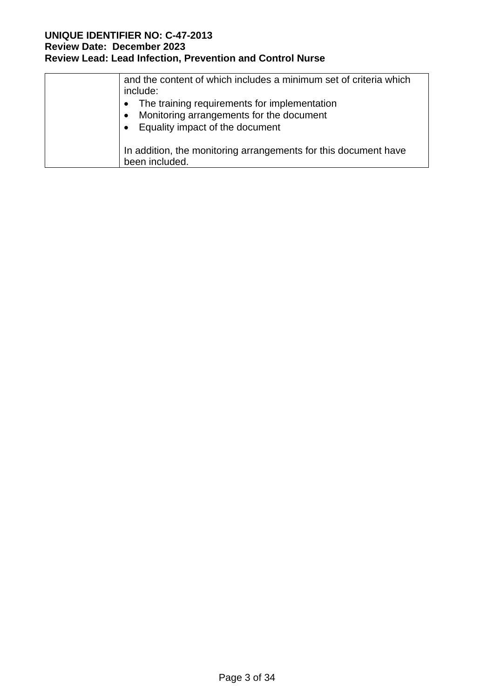| and the content of which includes a minimum set of criteria which<br>include:<br>The training requirements for implementation<br>Monitoring arrangements for the document<br>Equality impact of the document |
|--------------------------------------------------------------------------------------------------------------------------------------------------------------------------------------------------------------|
| In addition, the monitoring arrangements for this document have<br>been included.                                                                                                                            |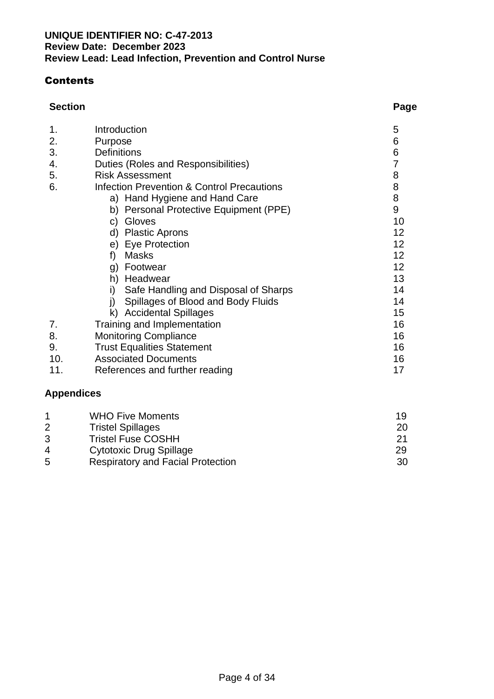# **Contents**

# **Section Page**

| 1.  | Introduction                               | 5                                          |
|-----|--------------------------------------------|--------------------------------------------|
| 2.  | Purpose                                    | 6                                          |
| 3.  | <b>Definitions</b>                         | 6                                          |
| 4.  | Duties (Roles and Responsibilities)        | 7                                          |
| 5.  | <b>Risk Assessment</b>                     |                                            |
| 6.  | Infection Prevention & Control Precautions | $\begin{array}{c} 8 \\ 8 \\ 8 \end{array}$ |
|     | a) Hand Hygiene and Hand Care              |                                            |
|     | b) Personal Protective Equipment (PPE)     | $\overline{9}$                             |
|     | Gloves<br>C)                               | 10                                         |
|     | <b>Plastic Aprons</b><br>d)                | 12                                         |
|     | e) Eye Protection                          | 12                                         |
|     | <b>Masks</b><br>f)                         | 12                                         |
|     | Footwear<br>g)                             | 12 <sub>2</sub>                            |
|     | Headwear<br>h)                             | 13                                         |
|     | Safe Handling and Disposal of Sharps<br>i) | 14                                         |
|     | Spillages of Blood and Body Fluids         | 14                                         |
|     | k) Accidental Spillages                    | 15                                         |
| 7.  | Training and Implementation                | 16                                         |
| 8.  | <b>Monitoring Compliance</b>               | 16                                         |
| 9.  | <b>Trust Equalities Statement</b>          | 16                                         |
| 10. | <b>Associated Documents</b>                | 16                                         |
| 11. | References and further reading             | 17                                         |

# **Appendices**

|   | <b>WHO Five Moments</b>                  | 19  |
|---|------------------------------------------|-----|
|   | <b>Tristel Spillages</b>                 | 20  |
|   | <b>Tristel Fuse COSHH</b>                | 21  |
| 4 | <b>Cytotoxic Drug Spillage</b>           | 29  |
| 5 | <b>Respiratory and Facial Protection</b> | -30 |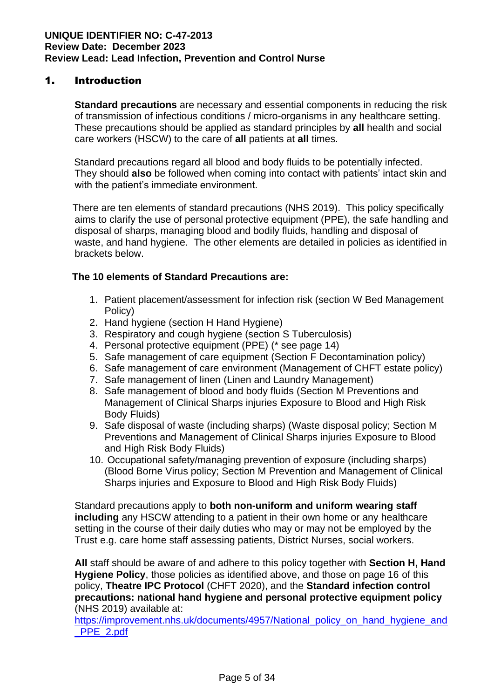# 1. Introduction

**Standard precautions** are necessary and essential components in reducing the risk of transmission of infectious conditions / micro-organisms in any healthcare setting. These precautions should be applied as standard principles by **all** health and social care workers (HSCW) to the care of **all** patients at **all** times.

Standard precautions regard all blood and body fluids to be potentially infected. They should **also** be followed when coming into contact with patients' intact skin and with the patient's immediate environment.

 There are ten elements of standard precautions (NHS 2019). This policy specifically aims to clarify the use of personal protective equipment (PPE), the safe handling and disposal of sharps, managing blood and bodily fluids, handling and disposal of waste, and hand hygiene. The other elements are detailed in policies as identified in brackets below.

# **The 10 elements of Standard Precautions are:**

- 1. Patient placement/assessment for infection risk (section W Bed Management Policy)
- 2. Hand hygiene (section H Hand Hygiene)
- 3. Respiratory and cough hygiene (section S Tuberculosis)
- 4. Personal protective equipment (PPE) (\* see page 14)
- 5. Safe management of care equipment (Section F Decontamination policy)
- 6. Safe management of care environment (Management of CHFT estate policy)
- 7. Safe management of linen (Linen and Laundry Management)
- 8. Safe management of blood and body fluids (Section M Preventions and Management of Clinical Sharps injuries Exposure to Blood and High Risk Body Fluids)
- 9. Safe disposal of waste (including sharps) (Waste disposal policy; Section M Preventions and Management of Clinical Sharps injuries Exposure to Blood and High Risk Body Fluids)
- 10. Occupational safety/managing prevention of exposure (including sharps) (Blood Borne Virus policy; Section M Prevention and Management of Clinical Sharps injuries and Exposure to Blood and High Risk Body Fluids)

Standard precautions apply to **both non-uniform and uniform wearing staff including** any HSCW attending to a patient in their own home or any healthcare setting in the course of their daily duties who may or may not be employed by the Trust e.g. care home staff assessing patients, District Nurses, social workers.

**All** staff should be aware of and adhere to this policy together with **Section H, Hand Hygiene Policy**, those policies as identified above, and those on page 16 of this policy, **Theatre IPC Protocol** (CHFT 2020), and the **Standard infection control precautions: national hand hygiene and personal protective equipment policy**  (NHS 2019) available at:

[https://improvement.nhs.uk/documents/4957/National\\_policy\\_on\\_hand\\_hygiene\\_and](https://improvement.nhs.uk/documents/4957/National_policy_on_hand_hygiene_and_PPE_2.pdf) [\\_PPE\\_2.pdf](https://improvement.nhs.uk/documents/4957/National_policy_on_hand_hygiene_and_PPE_2.pdf)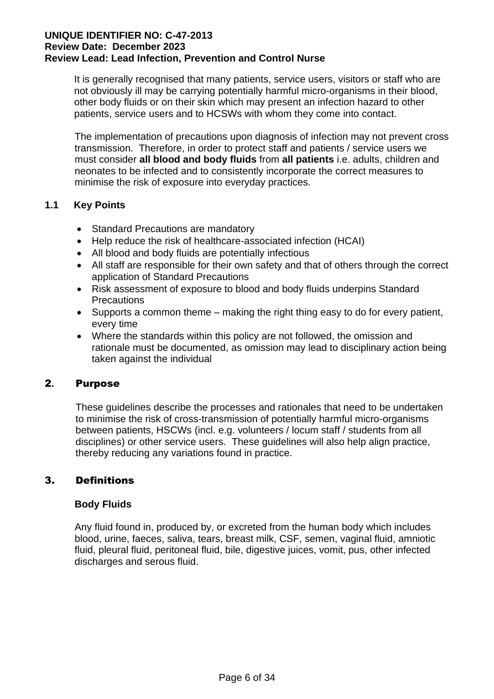It is generally recognised that many patients, service users, visitors or staff who are not obviously ill may be carrying potentially harmful micro-organisms in their blood, other body fluids or on their skin which may present an infection hazard to other patients, service users and to HCSWs with whom they come into contact.

The implementation of precautions upon diagnosis of infection may not prevent cross transmission. Therefore, in order to protect staff and patients / service users we must consider **all blood and body fluids** from **all patients** i.e. adults, children and neonates to be infected and to consistently incorporate the correct measures to minimise the risk of exposure into everyday practices.

# **1.1 Key Points**

- Standard Precautions are mandatory
- Help reduce the risk of healthcare-associated infection (HCAI)
- All blood and body fluids are potentially infectious
- All staff are responsible for their own safety and that of others through the correct application of Standard Precautions
- Risk assessment of exposure to blood and body fluids underpins Standard **Precautions**
- Supports a common theme making the right thing easy to do for every patient, every time
- Where the standards within this policy are not followed, the omission and rationale must be documented, as omission may lead to disciplinary action being taken against the individual

# 2**.** Purpose

These guidelines describe the processes and rationales that need to be undertaken to minimise the risk of cross-transmission of potentially harmful micro-organisms between patients, HSCWs (incl. e.g. volunteers / locum staff / students from all disciplines) or other service users. These guidelines will also help align practice, thereby reducing any variations found in practice.

# 3. Definitions

# **Body Fluids**

Any fluid found in, produced by, or excreted from the human body which includes blood, urine, faeces, saliva, tears, breast milk, CSF, semen, vaginal fluid, amniotic fluid, pleural fluid, peritoneal fluid, bile, digestive juices, vomit, pus, other infected discharges and serous fluid.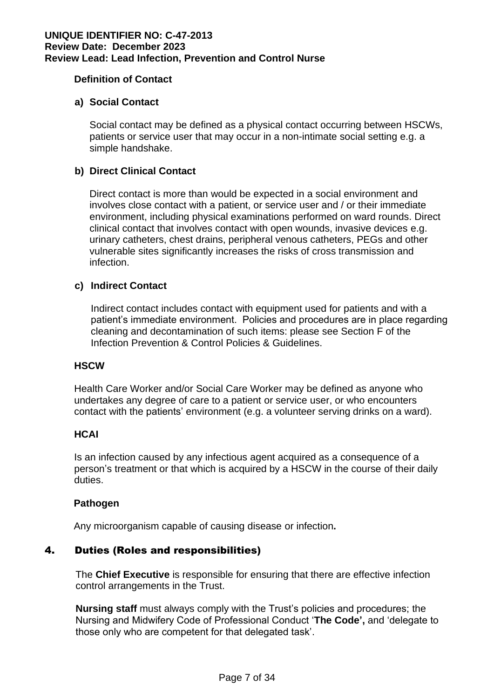# **Definition of Contact**

# **a) Social Contact**

Social contact may be defined as a physical contact occurring between HSCWs, patients or service user that may occur in a non-intimate social setting e.g. a simple handshake.

# **b) Direct Clinical Contact**

Direct contact is more than would be expected in a social environment and involves close contact with a patient, or service user and / or their immediate environment, including physical examinations performed on ward rounds. Direct clinical contact that involves contact with open wounds, invasive devices e.g. urinary catheters, chest drains, peripheral venous catheters, PEGs and other vulnerable sites significantly increases the risks of cross transmission and infection.

# **c) Indirect Contact**

Indirect contact includes contact with equipment used for patients and with a patient's immediate environment. Policies and procedures are in place regarding cleaning and decontamination of such items: please see Section F of the Infection Prevention & Control Policies & Guidelines.

### **HSCW**

Health Care Worker and/or Social Care Worker may be defined as anyone who undertakes any degree of care to a patient or service user, or who encounters contact with the patients' environment (e.g. a volunteer serving drinks on a ward).

# **HCAI**

Is an infection caused by any infectious agent acquired as a consequence of a person's treatment or that which is acquired by a HSCW in the course of their daily duties.

### **Pathogen**

Any microorganism capable of causing disease or infection**.**

# 4. Duties (Roles and responsibilities)

The **Chief Executive** is responsible for ensuring that there are effective infection control arrangements in the Trust.

**Nursing staff** must always comply with the Trust's policies and procedures; the Nursing and Midwifery Code of Professional Conduct '**The Code',** and 'delegate to those only who are competent for that delegated task'.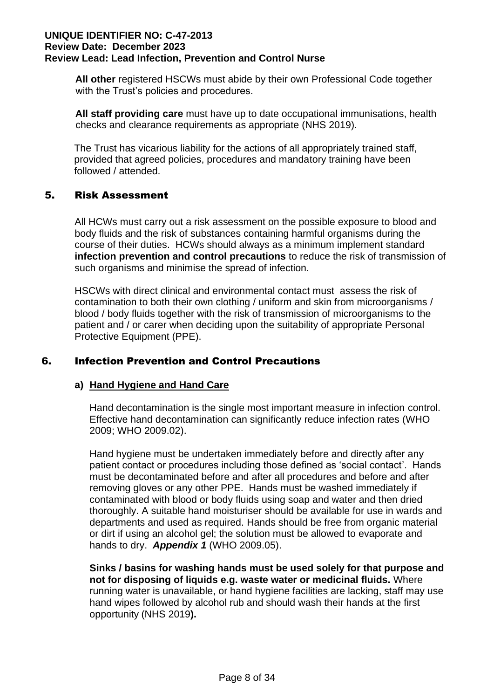**All other** registered HSCWs must abide by their own Professional Code together with the Trust's policies and procedures.

 **All staff providing care** must have up to date occupational immunisations, health checks and clearance requirements as appropriate (NHS 2019).

The Trust has vicarious liability for the actions of all appropriately trained staff, provided that agreed policies, procedures and mandatory training have been followed / attended.

# 5. Risk Assessment

All HCWs must carry out a risk assessment on the possible exposure to blood and body fluids and the risk of substances containing harmful organisms during the course of their duties. HCWs should always as a minimum implement standard **infection prevention and control precautions** to reduce the risk of transmission of such organisms and minimise the spread of infection.

HSCWs with direct clinical and environmental contact must assess the risk of contamination to both their own clothing / uniform and skin from microorganisms / blood / body fluids together with the risk of transmission of microorganisms to the patient and / or carer when deciding upon the suitability of appropriate Personal Protective Equipment (PPE).

# 6. Infection Prevention and Control Precautions

# **a) Hand Hygiene and Hand Care**

Hand decontamination is the single most important measure in infection control. Effective hand decontamination can significantly reduce infection rates (WHO 2009; WHO 2009.02).

Hand hygiene must be undertaken immediately before and directly after any patient contact or procedures including those defined as 'social contact'. Hands must be decontaminated before and after all procedures and before and after removing gloves or any other PPE. Hands must be washed immediately if contaminated with blood or body fluids using soap and water and then dried thoroughly. A suitable hand moisturiser should be available for use in wards and departments and used as required. Hands should be free from organic material or dirt if using an alcohol gel; the solution must be allowed to evaporate and hands to dry. *Appendix 1* (WHO 2009.05).

**Sinks / basins for washing hands must be used solely for that purpose and not for disposing of liquids e.g. waste water or medicinal fluids.** Where running water is unavailable, or hand hygiene facilities are lacking, staff may use hand wipes followed by alcohol rub and should wash their hands at the first opportunity (NHS 2019**).**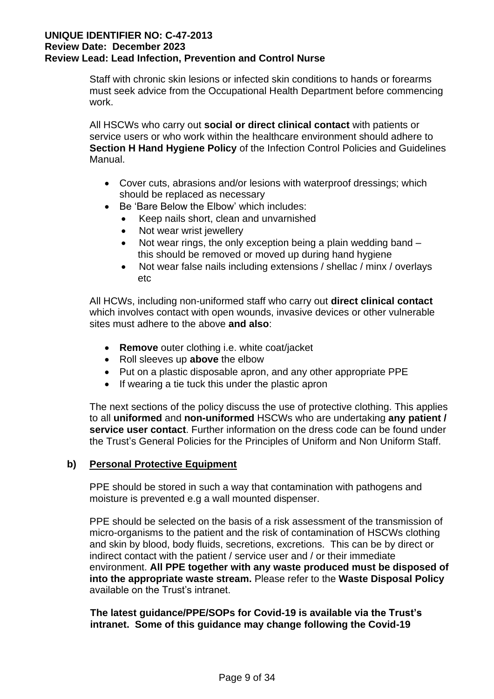Staff with chronic skin lesions or infected skin conditions to hands or forearms must seek advice from the Occupational Health Department before commencing work.

All HSCWs who carry out **social or direct clinical contact** with patients or service users or who work within the healthcare environment should adhere to **Section H Hand Hygiene Policy** of the Infection Control Policies and Guidelines Manual.

- Cover cuts, abrasions and/or lesions with waterproof dressings; which should be replaced as necessary
- Be 'Bare Below the Elbow' which includes:
	- Keep nails short, clean and unvarnished
	- Not wear wrist jewellery
	- Not wear rings, the only exception being a plain wedding band this should be removed or moved up during hand hygiene
	- Not wear false nails including extensions / shellac / minx / overlays etc

All HCWs, including non-uniformed staff who carry out **direct clinical contact** which involves contact with open wounds, invasive devices or other vulnerable sites must adhere to the above **and also**:

- **Remove** outer clothing i.e. white coat/jacket
- Roll sleeves up **above** the elbow
- Put on a plastic disposable apron, and any other appropriate PPE
- If wearing a tie tuck this under the plastic apron

The next sections of the policy discuss the use of protective clothing. This applies to all **uniformed** and **non-uniformed** HSCWs who are undertaking **any patient / service user contact**. Further information on the dress code can be found under the Trust's General Policies for the Principles of Uniform and Non Uniform Staff.

# **b) Personal Protective Equipment**

PPE should be stored in such a way that contamination with pathogens and moisture is prevented e.g a wall mounted dispenser.

PPE should be selected on the basis of a risk assessment of the transmission of micro-organisms to the patient and the risk of contamination of HSCWs clothing and skin by blood, body fluids, secretions, excretions. This can be by direct or indirect contact with the patient / service user and / or their immediate environment. **All PPE together with any waste produced must be disposed of into the appropriate waste stream.** Please refer to the **Waste Disposal Policy** available on the Trust's intranet.

**The latest guidance/PPE/SOPs for Covid-19 is available via the Trust's intranet. Some of this guidance may change following the Covid-19**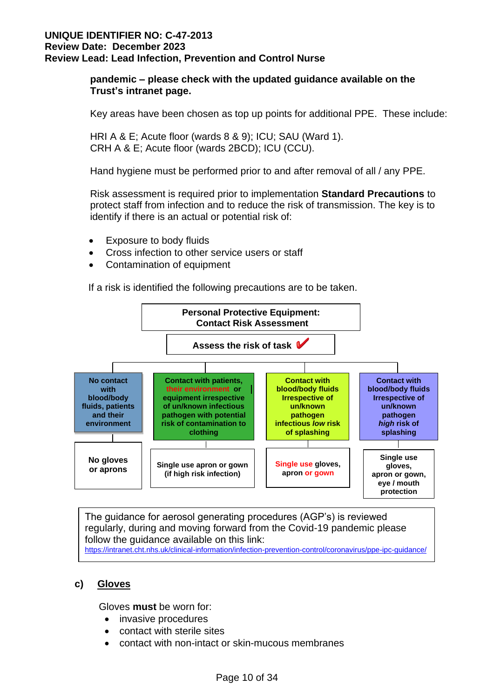# **pandemic – please check with the updated guidance available on the Trust's intranet page.**

Key areas have been chosen as top up points for additional PPE. These include:

HRI A & E; Acute floor (wards 8 & 9); ICU; SAU (Ward 1). CRH A & E; Acute floor (wards 2BCD); ICU (CCU).

Hand hygiene must be performed prior to and after removal of all / any PPE.

Risk assessment is required prior to implementation **Standard Precautions** to protect staff from infection and to reduce the risk of transmission. The key is to identify if there is an actual or potential risk of:

- Exposure to body fluids
- Cross infection to other service users or staff
- Contamination of equipment

If a risk is identified the following precautions are to be taken.



The guidance for aerosol generating procedures (AGP's) is reviewed regularly, during and moving forward from the Covid-19 pandemic please follow the guidance available on this link: <https://intranet.cht.nhs.uk/clinical-information/infection-prevention-control/coronavirus/ppe-ipc-guidance/>

# **c) Gloves**

Gloves **must** be worn for:

- invasive procedures
- contact with sterile sites
- contact with non-intact or skin-mucous membranes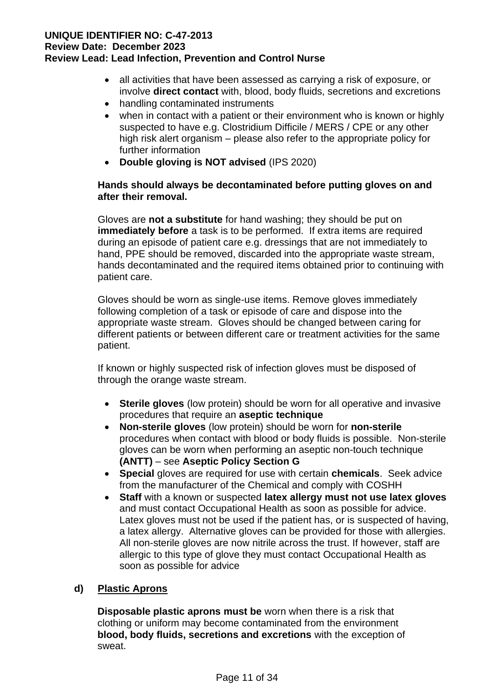- all activities that have been assessed as carrying a risk of exposure, or involve **direct contact** with, blood, body fluids, secretions and excretions
- handling contaminated instruments
- when in contact with a patient or their environment who is known or highly suspected to have e.g. Clostridium Difficile / MERS / CPE or any other high risk alert organism – please also refer to the appropriate policy for further information
- **Double gloving is NOT advised** (IPS 2020)

# **Hands should always be decontaminated before putting gloves on and after their removal.**

Gloves are **not a substitute** for hand washing; they should be put on **immediately before** a task is to be performed. If extra items are required during an episode of patient care e.g. dressings that are not immediately to hand, PPE should be removed, discarded into the appropriate waste stream, hands decontaminated and the required items obtained prior to continuing with patient care.

Gloves should be worn as single-use items. Remove gloves immediately following completion of a task or episode of care and dispose into the appropriate waste stream. Gloves should be changed between caring for different patients or between different care or treatment activities for the same patient.

If known or highly suspected risk of infection gloves must be disposed of through the orange waste stream.

- **Sterile gloves** (low protein) should be worn for all operative and invasive procedures that require an **aseptic technique**
- **Non-sterile gloves** (low protein) should be worn for **non-sterile** procedures when contact with blood or body fluids is possible. Non-sterile gloves can be worn when performing an aseptic non-touch technique **(ANTT)** – see **Aseptic Policy Section G**
- **Special** gloves are required for use with certain **chemicals**. Seek advice from the manufacturer of the Chemical and comply with COSHH
- **Staff** with a known or suspected **latex allergy must not use latex gloves** and must contact Occupational Health as soon as possible for advice. Latex gloves must not be used if the patient has, or is suspected of having, a latex allergy. Alternative gloves can be provided for those with allergies. All non-sterile gloves are now nitrile across the trust. If however, staff are allergic to this type of glove they must contact Occupational Health as soon as possible for advice

# **d) Plastic Aprons**

 **Disposable plastic aprons must be** worn when there is a risk that clothing or uniform may become contaminated from the environment **blood, body fluids, secretions and excretions** with the exception of sweat.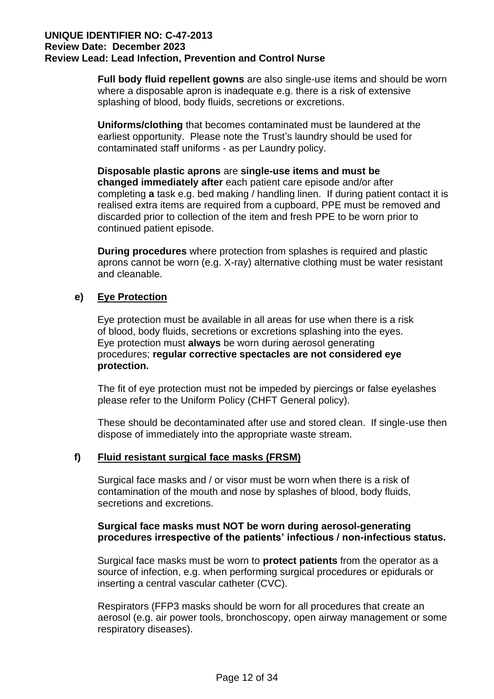**Full body fluid repellent gowns** are also single-use items and should be worn where a disposable apron is inadequate e.g. there is a risk of extensive splashing of blood, body fluids, secretions or excretions.

**Uniforms/clothing** that becomes contaminated must be laundered at the earliest opportunity. Please note the Trust's laundry should be used for contaminated staff uniforms - as per Laundry policy.

 **Disposable plastic aprons** are **single-use items and must be changed immediately after** each patient care episode and/or after completing **a** task e.g. bed making / handling linen. If during patient contact it is realised extra items are required from a cupboard, PPE must be removed and discarded prior to collection of the item and fresh PPE to be worn prior to continued patient episode.

**During procedures** where protection from splashes is required and plastic aprons cannot be worn (e.g. X-ray) alternative clothing must be water resistant and cleanable.

# **e) Eye Protection**

 Eye protection must be available in all areas for use when there is a risk of blood, body fluids, secretions or excretions splashing into the eyes. Eye protection must **always** be worn during aerosol generating procedures; **regular corrective spectacles are not considered eye protection.** 

The fit of eye protection must not be impeded by piercings or false eyelashes please refer to the Uniform Policy (CHFT General policy).

These should be decontaminated after use and stored clean. If single-use then dispose of immediately into the appropriate waste stream.

# **f) Fluid resistant surgical face masks (FRSM)**

Surgical face masks and / or visor must be worn when there is a risk of contamination of the mouth and nose by splashes of blood, body fluids, secretions and excretions.

# **Surgical face masks must NOT be worn during aerosol-generating procedures irrespective of the patients' infectious / non-infectious status.**

 Surgical face masks must be worn to **protect patients** from the operator as a source of infection, e.g. when performing surgical procedures or epidurals or inserting a central vascular catheter (CVC).

Respirators (FFP3 masks should be worn for all procedures that create an aerosol (e.g. air power tools, bronchoscopy, open airway management or some respiratory diseases).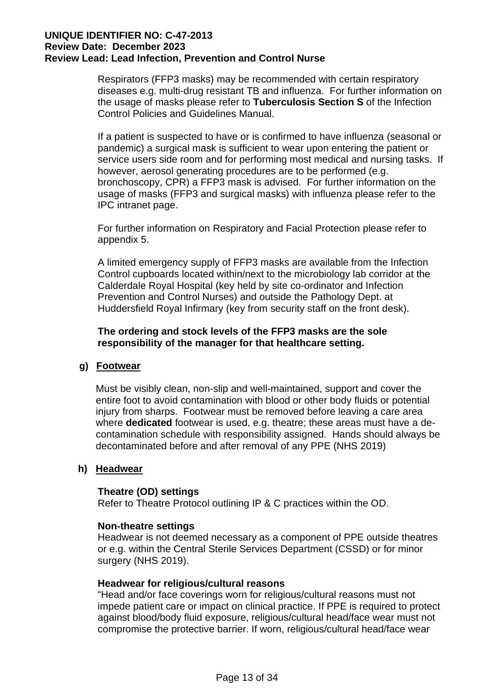Respirators (FFP3 masks) may be recommended with certain respiratory diseases e.g. multi-drug resistant TB and influenza. For further information on the usage of masks please refer to **Tuberculosis Section S** of the Infection Control Policies and Guidelines Manual.

If a patient is suspected to have or is confirmed to have influenza (seasonal or pandemic) a surgical mask is sufficient to wear upon entering the patient or service users side room and for performing most medical and nursing tasks. If however, aerosol generating procedures are to be performed (e.g. bronchoscopy, CPR) a FFP3 mask is advised. For further information on the usage of masks (FFP3 and surgical masks) with influenza please refer to the IPC intranet page.

For further information on Respiratory and Facial Protection please refer to appendix 5.

A limited emergency supply of FFP3 masks are available from the Infection Control cupboards located within/next to the microbiology lab corridor at the Calderdale Royal Hospital (key held by site co-ordinator and Infection Prevention and Control Nurses) and outside the Pathology Dept. at Huddersfield Royal Infirmary (key from security staff on the front desk).

**The ordering and stock levels of the FFP3 masks are the sole responsibility of the manager for that healthcare setting.**

# **g) Footwear**

Must be visibly clean, non-slip and well-maintained, support and cover the entire foot to avoid contamination with blood or other body fluids or potential injury from sharps. Footwear must be removed before leaving a care area where **dedicated** footwear is used, e.g. theatre; these areas must have a decontamination schedule with responsibility assigned. Hands should always be decontaminated before and after removal of any PPE (NHS 2019)

## **h) Headwear**

# **Theatre (OD) settings**

Refer to Theatre Protocol outlining IP & C practices within the OD.

### **Non-theatre settings**

Headwear is not deemed necessary as a component of PPE outside theatres or e.g. within the Central Sterile Services Department (CSSD) or for minor surgery (NHS 2019).

### **Headwear for religious/cultural reasons**

"Head and/or face coverings worn for religious/cultural reasons must not impede patient care or impact on clinical practice. If PPE is required to protect against blood/body fluid exposure, religious/cultural head/face wear must not compromise the protective barrier. If worn, religious/cultural head/face wear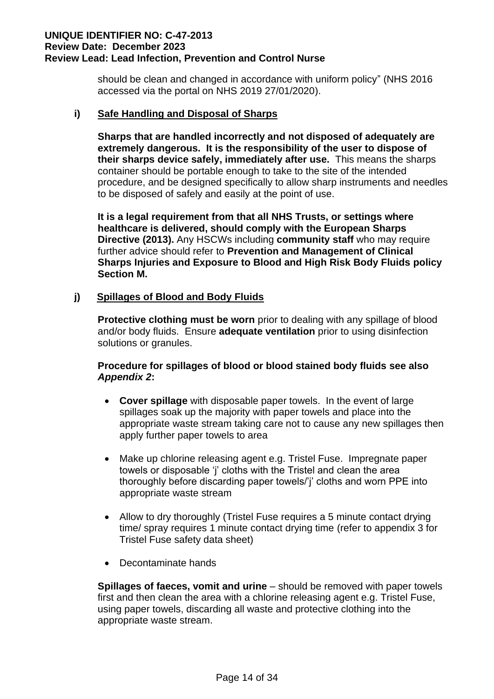should be clean and changed in accordance with uniform policy" (NHS 2016 accessed via the portal on NHS 2019 27/01/2020).

# **i) Safe Handling and Disposal of Sharps**

**Sharps that are handled incorrectly and not disposed of adequately are extremely dangerous. It is the responsibility of the user to dispose of their sharps device safely, immediately after use.** This means the sharps container should be portable enough to take to the site of the intended procedure, and be designed specifically to allow sharp instruments and needles to be disposed of safely and easily at the point of use.

**It is a legal requirement from that all NHS Trusts, or settings where healthcare is delivered, should comply with the European Sharps Directive (2013).** Any HSCWs including **community staff** who may require further advice should refer to **Prevention and Management of Clinical Sharps Injuries and Exposure to Blood and High Risk Body Fluids policy Section M.**

# **j) Spillages of Blood and Body Fluids**

**Protective clothing must be worn** prior to dealing with any spillage of blood and/or body fluids. Ensure **adequate ventilation** prior to using disinfection solutions or granules.

# **Procedure for spillages of blood or blood stained body fluids see also**  *Appendix 2***:**

- **Cover spillage** with disposable paper towels. In the event of large spillages soak up the majority with paper towels and place into the appropriate waste stream taking care not to cause any new spillages then apply further paper towels to area
- Make up chlorine releasing agent e.g. Tristel Fuse. Impregnate paper towels or disposable 'j' cloths with the Tristel and clean the area thoroughly before discarding paper towels/'j' cloths and worn PPE into appropriate waste stream
- Allow to dry thoroughly (Tristel Fuse requires a 5 minute contact drying time/ spray requires 1 minute contact drying time (refer to appendix 3 for Tristel Fuse safety data sheet)
- Decontaminate hands

**Spillages of faeces, vomit and urine** – should be removed with paper towels first and then clean the area with a chlorine releasing agent e.g. Tristel Fuse, using paper towels, discarding all waste and protective clothing into the appropriate waste stream.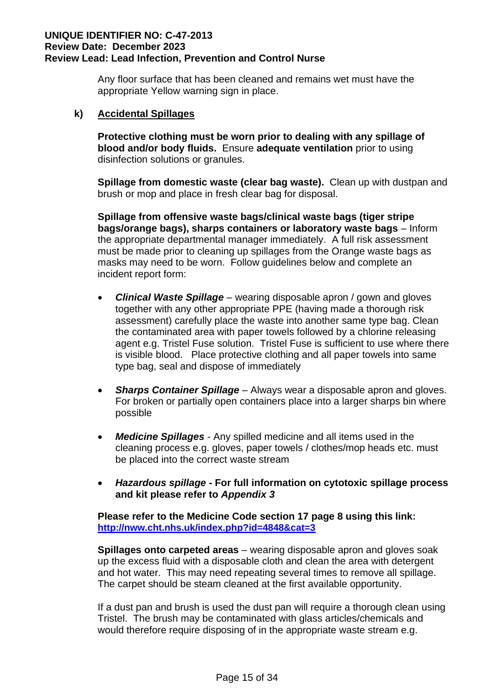Any floor surface that has been cleaned and remains wet must have the appropriate Yellow warning sign in place.

# **k) Accidental Spillages**

**Protective clothing must be worn prior to dealing with any spillage of blood and/or body fluids.** Ensure **adequate ventilation** prior to using disinfection solutions or granules.

 **Spillage from domestic waste (clear bag waste).** Clean up with dustpan and brush or mop and place in fresh clear bag for disposal.

**Spillage from offensive waste bags/clinical waste bags (tiger stripe bags/orange bags), sharps containers or laboratory waste bags** – Inform the appropriate departmental manager immediately. A full risk assessment must be made prior to cleaning up spillages from the Orange waste bags as masks may need to be worn. Follow guidelines below and complete an incident report form:

- *Clinical Waste Spillage* wearing disposable apron / gown and gloves together with any other appropriate PPE (having made a thorough risk assessment) carefully place the waste into another same type bag. Clean the contaminated area with paper towels followed by a chlorine releasing agent e.g. Tristel Fuse solution. Tristel Fuse is sufficient to use where there is visible blood. Place protective clothing and all paper towels into same type bag, seal and dispose of immediately
- *Sharps Container Spillage* Always wear a disposable apron and gloves. For broken or partially open containers place into a larger sharps bin where possible
- *Medicine Spillages* Any spilled medicine and all items used in the cleaning process e.g. gloves, paper towels / clothes/mop heads etc. must be placed into the correct waste stream
- *Hazardous spillage* **- For full information on cytotoxic spillage process and kit please refer to** *Appendix 3*

**Please refer to the Medicine Code section 17 page 8 using this link: <http://nww.cht.nhs.uk/index.php?id=4848&cat=3>**

**Spillages onto carpeted areas** – wearing disposable apron and gloves soak up the excess fluid with a disposable cloth and clean the area with detergent and hot water. This may need repeating several times to remove all spillage. The carpet should be steam cleaned at the first available opportunity.

If a dust pan and brush is used the dust pan will require a thorough clean using Tristel. The brush may be contaminated with glass articles/chemicals and would therefore require disposing of in the appropriate waste stream e.g.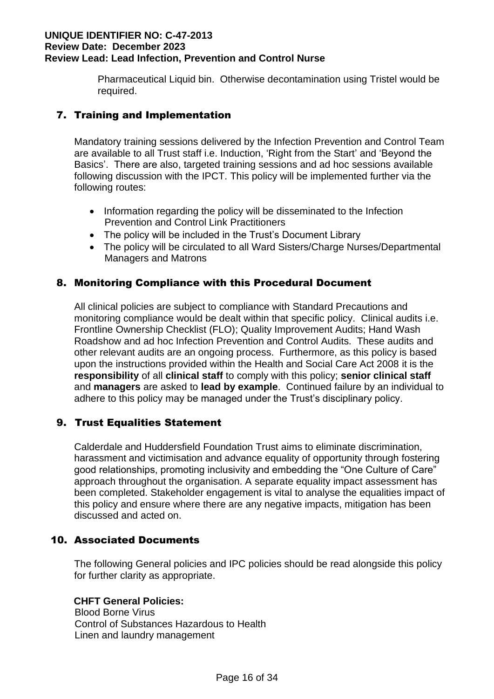Pharmaceutical Liquid bin. Otherwise decontamination using Tristel would be required.

# 7. Training and Implementation

Mandatory training sessions delivered by the Infection Prevention and Control Team are available to all Trust staff i.e. Induction, 'Right from the Start' and 'Beyond the Basics'. There are also, targeted training sessions and ad hoc sessions available following discussion with the IPCT. This policy will be implemented further via the following routes:

- Information regarding the policy will be disseminated to the Infection Prevention and Control Link Practitioners
- The policy will be included in the Trust's Document Library
- The policy will be circulated to all Ward Sisters/Charge Nurses/Departmental Managers and Matrons

# 8. Monitoring Compliance with this Procedural Document

All clinical policies are subject to compliance with Standard Precautions and monitoring compliance would be dealt within that specific policy. Clinical audits i.e. Frontline Ownership Checklist (FLO); Quality Improvement Audits; Hand Wash Roadshow and ad hoc Infection Prevention and Control Audits. These audits and other relevant audits are an ongoing process. Furthermore, as this policy is based upon the instructions provided within the Health and Social Care Act 2008 it is the **responsibility** of all **clinical staff** to comply with this policy; **senior clinical staff** and **managers** are asked to **lead by example**. Continued failure by an individual to adhere to this policy may be managed under the Trust's disciplinary policy.

# 9. Trust Equalities Statement

Calderdale and Huddersfield Foundation Trust aims to eliminate discrimination, harassment and victimisation and advance equality of opportunity through fostering good relationships, promoting inclusivity and embedding the "One Culture of Care" approach throughout the organisation. A separate equality impact assessment has been completed. Stakeholder engagement is vital to analyse the equalities impact of this policy and ensure where there are any negative impacts, mitigation has been discussed and acted on.

# 10. Associated Documents

The following General policies and IPC policies should be read alongside this policy for further clarity as appropriate.

# **CHFT General Policies:**

Blood Borne Virus Control of Substances Hazardous to Health Linen and laundry management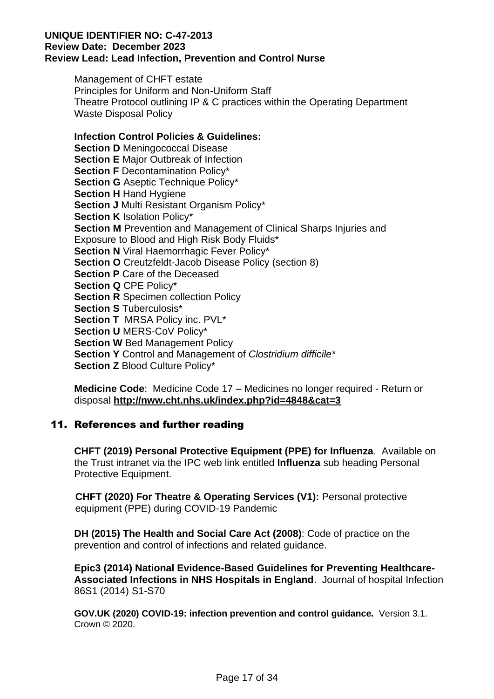Management of CHFT estate Principles for Uniform and Non-Uniform Staff Theatre Protocol outlining IP & C practices within the Operating Department Waste Disposal Policy

# **Infection Control Policies & Guidelines:**

**Section D Meningococcal Disease Section E** Major Outbreak of Infection **Section F Decontamination Policy\* Section G** Aseptic Technique Policy\* **Section H** Hand Hygiene **Section J** Multi Resistant Organism Policy\* **Section K** Isolation Policy\* **Section M** Prevention and Management of Clinical Sharps Injuries and Exposure to Blood and High Risk Body Fluids\* **Section N** Viral Haemorrhagic Fever Policy\* **Section O** Creutzfeldt-Jacob Disease Policy (section 8) **Section P** Care of the Deceased **Section Q** CPE Policy\* **Section R** Specimen collection Policy **Section S** Tuberculosis\* **Section T** MRSA Policy inc. PVL\* **Section U** MERS-CoV Policy\* **Section W** Bed Management Policy **Section Y** Control and Management of *Clostridium difficile\** **Section Z** Blood Culture Policy\*

**Medicine Code**: Medicine Code 17 – Medicines no longer required - Return or disposal **<http://nww.cht.nhs.uk/index.php?id=4848&cat=3>**

# 11. References and further reading

**CHFT (2019) Personal Protective Equipment (PPE) for Influenza**. Available on the Trust intranet via the IPC web link entitled **Influenza** sub heading Personal Protective Equipment.

 **CHFT (2020) For Theatre & Operating Services (V1):** Personal protective equipment (PPE) during COVID-19 Pandemic

**DH (2015) The Health and Social Care Act (2008)**: Code of practice on the prevention and control of infections and related guidance.

**Epic3 (2014) National Evidence-Based Guidelines for Preventing Healthcare-Associated Infections in NHS Hospitals in England**. Journal of hospital Infection 86S1 (2014) S1-S70

**GOV.UK (2020) COVID-19: infection prevention and control guidance.** Version 3.1. Crown © 2020.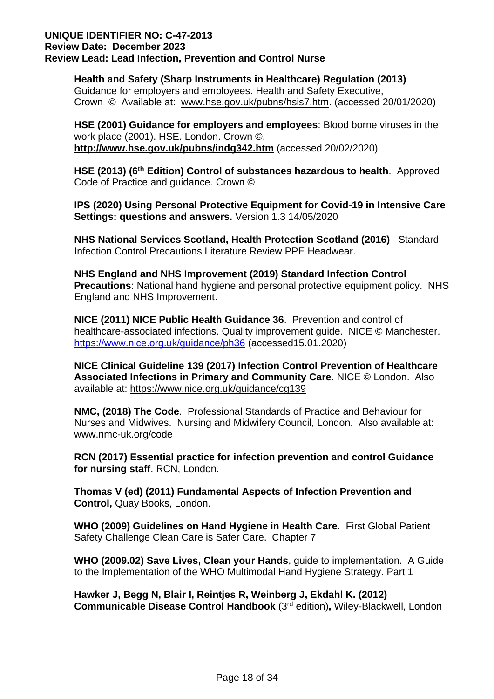**Health and Safety (Sharp Instruments in Healthcare) Regulation (2013)** Guidance for employers and employees. Health and Safety Executive, Crown © Available at: [www.hse.gov.uk/pubns/hsis7.htm.](http://www.hse.gov.uk/pubns/hsis7.htm) (accessed 20/01/2020)

 **HSE (2001) Guidance for employers and employees**: Blood borne viruses in the work place (2001). HSE. London. Crown ©. **<http://www.hse.gov.uk/pubns/indg342.htm>** (accessed 20/02/2020)

**HSE (2013) (6th Edition) Control of substances hazardous to health**. Approved Code of Practice and guidance. Crown **©** 

**IPS (2020) Using Personal Protective Equipment for Covid-19 in Intensive Care Settings: questions and answers.** Version 1.3 14/05/2020

**NHS National Services Scotland, Health Protection Scotland (2016)** Standard Infection Control Precautions Literature Review PPE Headwear.

**NHS England and NHS Improvement (2019) Standard Infection Control Precautions**: National hand hygiene and personal protective equipment policy. NHS England and NHS Improvement.

**NICE (2011) NICE Public Health Guidance 36**. Prevention and control of healthcare-associated infections. Quality improvement guide. NICE © Manchester. <https://www.nice.org.uk/guidance/ph36> (accessed15.01.2020)

**NICE Clinical Guideline 139 (2017) Infection Control Prevention of Healthcare Associated Infections in Primary and Community Care**. NICE © London. Also available at:<https://www.nice.org.uk/guidance/cg139>

**NMC, (2018) The Code**. Professional Standards of Practice and Behaviour for Nurses and Midwives. Nursing and Midwifery Council, London. Also available at: [www.nmc-uk.org/code](http://www.nmc-uk.org/code)

**RCN (2017) Essential practice for infection prevention and control Guidance for nursing staff**. RCN, London.

**Thomas V (ed) (2011) Fundamental Aspects of Infection Prevention and Control,** Quay Books, London.

**WHO (2009) Guidelines on Hand Hygiene in Health Care**. First Global Patient Safety Challenge Clean Care is Safer Care. Chapter 7

**WHO (2009.02) Save Lives, Clean your Hands**, guide to implementation. A Guide to the Implementation of the WHO Multimodal Hand Hygiene Strategy. Part 1

**Hawker J, Begg N, Blair I, Reintjes R, Weinberg J, Ekdahl K. (2012) Communicable Disease Control Handbook** (3 rd edition)**,** Wiley-Blackwell, London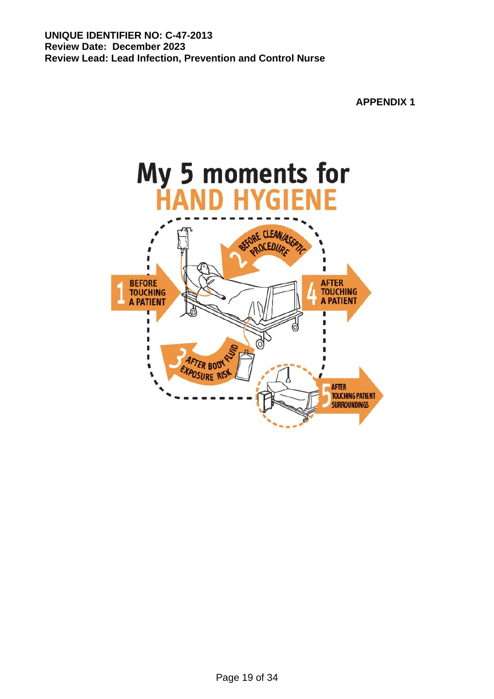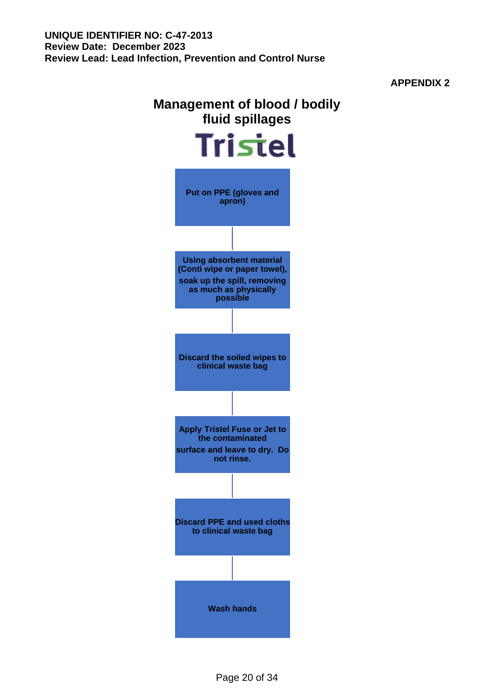**APPENDIX 2**

# **Management of blood / bodily fluid spillages**

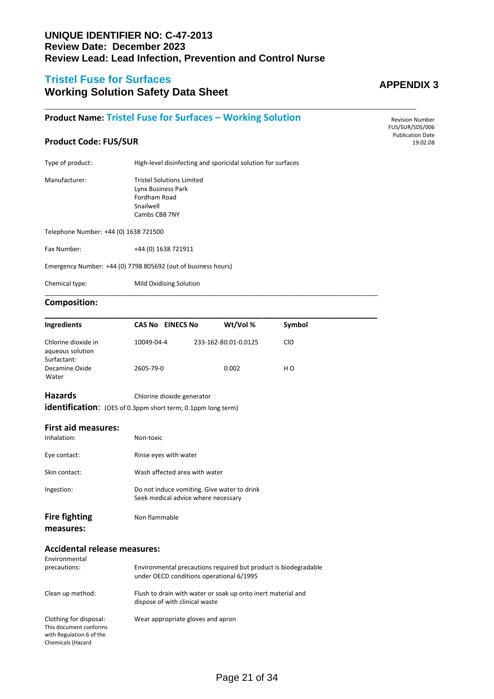**\_\_\_\_\_\_\_\_\_\_\_\_\_\_\_\_\_\_\_\_\_\_\_\_\_\_\_\_\_\_\_\_\_\_\_\_\_\_\_\_\_\_\_\_\_\_\_\_\_\_\_\_\_\_\_\_\_\_\_\_\_\_**

# **Tristel Fuse for Surfaces**

# **Working Solution Safety Data Sheet**

# **Product Name: Tristel Fuse for Surfaces – Working Solution**

# **Product Code: FUS/SUR**

Type of product: High-level disinfecting and sporicidal solution for surfaces

Manufacturer: Tristel Solutions Limited Lynx Business Park Fordham Road Snailwell Cambs CB8 7NY

Telephone Number: +44 (0) 1638 721500

Fax Number: +44 (0) 1638 721911

Emergency Number: +44 (0) 7798 805692 (out of business hours)

Chemical type: Mild Oxidising Solution

#### **Composition:**

| <b>Ingredients</b>                                           | <b>CAS No EINECS No</b>                                                                        | Wt/Vol %                                                                                                    | Symbol         |  |  |  |  |
|--------------------------------------------------------------|------------------------------------------------------------------------------------------------|-------------------------------------------------------------------------------------------------------------|----------------|--|--|--|--|
| Chlorine dioxide in<br>aqueous solution                      | 10049-04-4                                                                                     | 233-162-80.01-0.0125                                                                                        | <b>CIO</b>     |  |  |  |  |
| Surfactant:<br>Decamine Oxide<br>Water                       | 2605-79-0                                                                                      | 0.002                                                                                                       | H <sub>O</sub> |  |  |  |  |
| Hazards                                                      |                                                                                                | Chlorine dioxide generator                                                                                  |                |  |  |  |  |
| identification: (OES of 0.3ppm short term; 0.1ppm long term) |                                                                                                |                                                                                                             |                |  |  |  |  |
| <b>First aid measures:</b>                                   |                                                                                                |                                                                                                             |                |  |  |  |  |
| Inhalation:                                                  | Non-toxic                                                                                      |                                                                                                             |                |  |  |  |  |
| Eye contact:                                                 |                                                                                                | Rinse eyes with water                                                                                       |                |  |  |  |  |
| Skin contact:                                                |                                                                                                | Wash affected area with water                                                                               |                |  |  |  |  |
| Ingestion:                                                   |                                                                                                | Do not induce vomiting. Give water to drink<br>Seek medical advice where necessary                          |                |  |  |  |  |
| <b>Fire fighting</b><br>measures:                            | Non flammable                                                                                  |                                                                                                             |                |  |  |  |  |
| <b>Accidental release measures:</b>                          |                                                                                                |                                                                                                             |                |  |  |  |  |
| Environmental                                                |                                                                                                |                                                                                                             |                |  |  |  |  |
| precautions:                                                 |                                                                                                | Environmental precautions required but product is biodegradable<br>under OECD conditions operational 6/1995 |                |  |  |  |  |
| Clean up method:                                             | Flush to drain with water or soak up onto inert material and<br>dispose of with clinical waste |                                                                                                             |                |  |  |  |  |

\_\_\_\_\_\_\_\_\_\_\_\_\_\_\_\_\_\_\_\_\_\_\_\_\_\_\_\_\_\_\_\_\_\_\_\_\_\_\_\_\_\_\_\_\_\_\_\_\_\_\_\_\_\_\_\_\_\_\_\_\_\_\_\_\_\_\_\_\_\_\_\_\_\_\_\_\_\_\_\_\_\_\_\_\_\_\_\_\_\_\_\_\_\_\_

Clothing for disposal: Wear appropriate gloves and apron This document conforms

with Regulation 6 of the Chemicals (Hazard

# **APPENDIX 3**

Revision Number FUS/SUR/SDS/006 Publication Date 19.02.08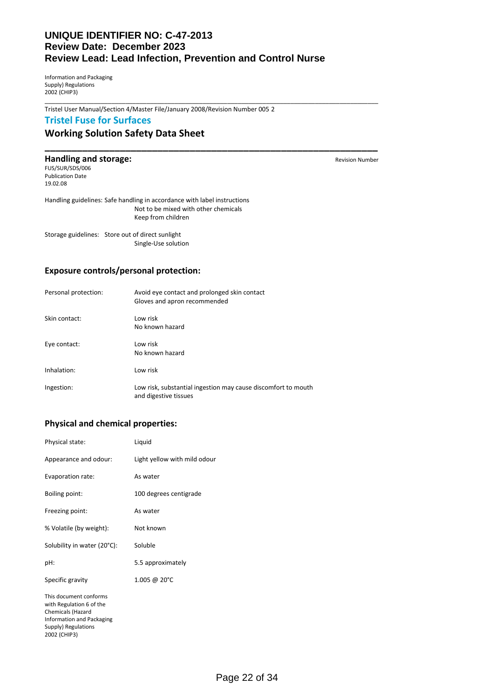\_\_\_\_\_\_\_\_\_\_\_\_\_\_\_\_\_\_\_\_\_\_\_\_\_\_\_\_\_\_\_\_\_\_\_\_\_\_\_\_\_\_\_\_\_\_\_\_\_\_\_\_\_\_\_\_\_\_\_\_\_\_\_\_\_\_\_\_\_\_\_\_\_\_\_\_\_\_\_\_\_\_\_\_\_\_\_\_\_\_\_\_\_\_\_

**\_\_\_\_\_\_\_\_\_\_\_\_\_\_\_\_\_\_\_\_\_\_\_\_\_\_\_\_\_\_\_\_\_\_\_\_\_\_\_\_\_\_\_\_\_\_\_\_\_\_\_\_\_\_\_\_\_\_\_\_\_\_**

Information and Packaging Supply) Regulations 2002 (CHIP3)

Tristel User Manual/Section 4/Master File/January 2008/Revision Number 005 2

### **Tristel Fuse for Surfaces**

### **Working Solution Safety Data Sheet**

#### **Handling and storage: Revision Number** Revision Number

FUS/SUR/SDS/006 Publication Date 19.02.08

Handling guidelines: Safe handling in accordance with label instructions Not to be mixed with other chemicals Keep from children

Storage guidelines: Store out of direct sunlight Single-Use solution

#### **Exposure controls/personal protection:**

| Personal protection: | Avoid eye contact and prolonged skin contact<br>Gloves and apron recommended           |
|----------------------|----------------------------------------------------------------------------------------|
| Skin contact:        | Low risk<br>No known hazard                                                            |
| Eye contact:         | Low risk<br>No known hazard                                                            |
| Inhalation:          | Low risk                                                                               |
| Ingestion:           | Low risk, substantial ingestion may cause discomfort to mouth<br>and digestive tissues |

#### **Physical and chemical properties:**

| Physical state:                                                                                                                                    | Liquid                       |
|----------------------------------------------------------------------------------------------------------------------------------------------------|------------------------------|
| Appearance and odour:                                                                                                                              | Light yellow with mild odour |
| Evaporation rate:                                                                                                                                  | As water                     |
| Boiling point:                                                                                                                                     | 100 degrees centigrade       |
| Freezing point:                                                                                                                                    | As water                     |
| % Volatile (by weight):                                                                                                                            | Not known                    |
| Solubility in water (20°C):                                                                                                                        | Soluble                      |
| pH:                                                                                                                                                | 5.5 approximately            |
| Specific gravity                                                                                                                                   | 1.005 @ 20°C                 |
| This document conforms<br>with Regulation 6 of the<br>Chemicals (Hazard<br><b>Information and Packaging</b><br>Supply) Regulations<br>2002 (CHIP3) |                              |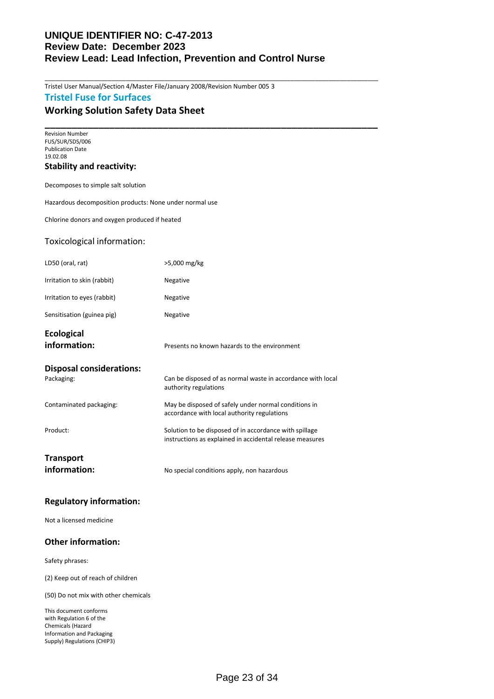\_\_\_\_\_\_\_\_\_\_\_\_\_\_\_\_\_\_\_\_\_\_\_\_\_\_\_\_\_\_\_\_\_\_\_\_\_\_\_\_\_\_\_\_\_\_\_\_\_\_\_\_\_\_\_\_\_\_\_\_\_\_\_\_\_\_\_\_\_\_\_\_\_\_\_\_\_\_\_\_\_\_\_\_\_\_\_\_\_\_\_\_\_\_\_

Tristel User Manual/Section 4/Master File/January 2008/Revision Number 005 3

# **Tristel Fuse for Surfaces**

### **Working Solution Safety Data Sheet**

**\_\_\_\_\_\_\_\_\_\_\_\_\_\_\_\_\_\_\_\_\_\_\_\_\_\_\_\_\_\_\_\_\_\_\_\_\_\_\_\_\_\_\_\_\_\_\_\_\_\_\_\_\_\_\_\_\_\_\_\_\_\_** Revision Number FUS/SUR/SDS/006 Publication Date 19.02.08

#### **Stability and reactivity:**

Decomposes to simple salt solution

Hazardous decomposition products: None under normal use

Chlorine donors and oxygen produced if heated

#### Toxicological information:

| LD50 (oral, rat)                              | >5,000 mg/kg                                                                                                       |
|-----------------------------------------------|--------------------------------------------------------------------------------------------------------------------|
| Irritation to skin (rabbit)                   | Negative                                                                                                           |
| Irritation to eyes (rabbit)                   | Negative                                                                                                           |
| Sensitisation (guinea pig)                    | Negative                                                                                                           |
| <b>Ecological</b><br>information:             | Presents no known hazards to the environment                                                                       |
| <b>Disposal considerations:</b><br>Packaging: | Can be disposed of as normal waste in accordance with local<br>authority regulations                               |
| Contaminated packaging:                       | May be disposed of safely under normal conditions in<br>accordance with local authority regulations                |
| Product:                                      | Solution to be disposed of in accordance with spillage<br>instructions as explained in accidental release measures |
| <b>Transport</b>                              |                                                                                                                    |
| information:                                  | No special conditions apply, non hazardous                                                                         |

#### **Regulatory information:**

Not a licensed medicine

#### **Other information:**

Safety phrases:

(2) Keep out of reach of children

(50) Do not mix with other chemicals

This document conforms with Regulation 6 of the Chemicals (Hazard Information and Packaging Supply) Regulations (CHIP3)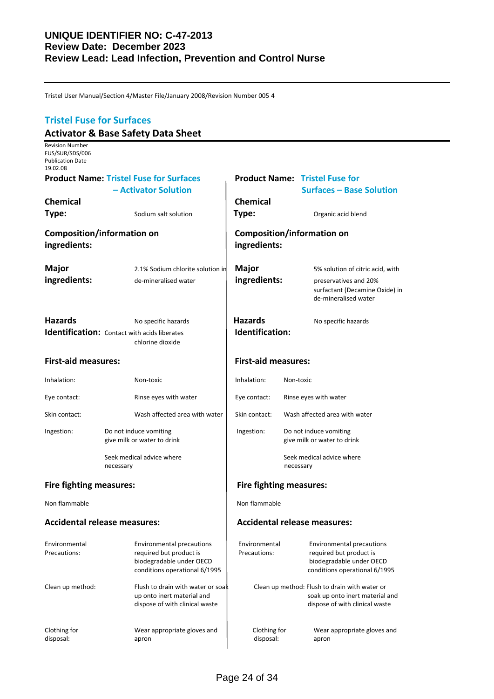Tristel User Manual/Section 4/Master File/January 2008/Revision Number 005 4

# **Tristel Fuse for Surfaces Activator & Base Safety Data Sheet** Revision Number FUS/SUR/SDS/006 Publication Date 19.02.08 **Product Name: Tristel Fuse for Surfaces Product Name: Tristel Fuse for – Activator Solution Surfaces – Base Solution Chemical Chemical Type:** Sodium salt solution **Type:** Organic acid blend **Composition/information on Composition/information on ingredients: ingredients: Major** 2.1% Sodium chlorite solution in **Major** 5% solution of citric acid, with **ingredients:** de-mineralised water **ingredients:** preservatives and 20% surfactant (Decamine Oxide) in de-mineralised water **Hazards** No specific hazards **Hazards** No specific hazards **Identification:** Contact with acids liberates **Integrals 10 Identification:** chlorine dioxide **First-aid measures: First-aid measures:** Inhalation: Non-toxic **Inhalation:** Non-toxic Eye contact: Rinse eyes with water Eye contact: Rinse eyes with water Skin contact: Wash affected area with water Skin contact: Wash affected area with water Ingestion: Do not induce vomiting **Ingestion:** Do not induce vomiting give milk or water to drink and  $\left| \right|$  give milk or water to drink Seek medical advice where  $\vert$  seek medical advice where necessary **necessary necessary** Fire fighting measures: **Fire fighting measures:** Non flammable Non flammable **Accidental release measures: Accidental release measures:** Environmental Environmental precautions Environmental Environmental precautions Precautions: required but product is Precautions: required but product is biodegradable under OECD | biodegradable under OECD conditions operational 6/1995 conditions operational 6/1995 Clean up method: Flush to drain with water or soak Clean up method: Flush to drain with water or up onto inert material and  $\qquad \qquad$  soak up onto inert material and dispose of with clinical waste  $\parallel$  external waste dispose of with clinical waste Clothing for **Clothing for** Wear appropriate gloves and **Clothing for** Wear appropriate gloves and disposal:<br>
disposal: apron disposal: apron disposal: apron disposal: apron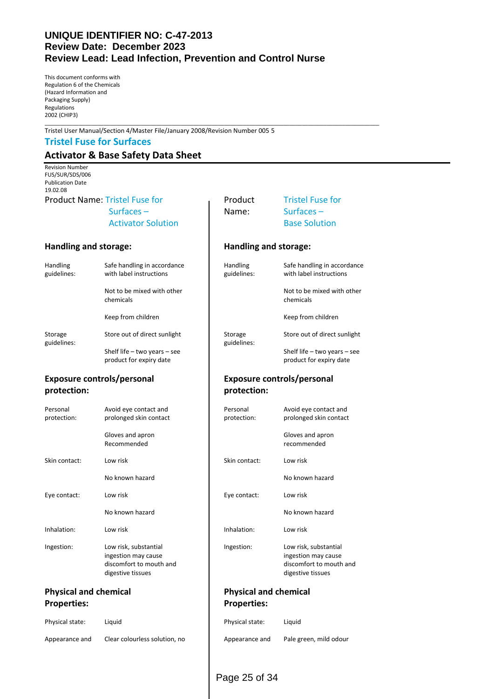\_\_\_\_\_\_\_\_\_\_\_\_\_\_\_\_\_\_\_\_\_\_\_\_\_\_\_\_\_\_\_\_\_\_\_\_\_\_\_\_\_\_\_\_\_\_\_\_\_\_\_\_\_\_\_\_\_\_\_\_\_\_\_\_\_\_\_\_\_\_\_\_\_\_\_\_\_\_\_\_\_\_\_\_\_\_\_\_\_\_\_\_\_\_\_\_\_\_\_\_\_\_\_\_\_\_\_\_

This document conforms with Regulation 6 of the Chemicals (Hazard Information and Packaging Supply) Regulations 2002 (CHIP3)

Tristel User Manual/Section 4/Master File/January 2008/Revision Number 005 5

#### **Tristel Fuse for Surfaces**

# **Activator & Base Safety Data Sheet**

Revision Number FUS/SUR/SDS/006 Publication Date 19.02.08

| Handling<br>guidelines: | Safe handling in accordance<br>with label instructions |  |
|-------------------------|--------------------------------------------------------|--|
|                         | Not to be mixed with other<br>chemicals                |  |
|                         | Keep from children                                     |  |
| Storage<br>guidelines:  | Store out of direct sunlight                           |  |
|                         | Shelf life $-$ two years $-$ see                       |  |

#### **Exposure controls/personal Exposure controls/personal protection: protection:**

| Personal<br>protection: | Avoid eye contact and<br>prolonged skin contact                                              |  |
|-------------------------|----------------------------------------------------------------------------------------------|--|
|                         | Gloves and apron<br>Recommended                                                              |  |
| Skin contact:           | Low risk                                                                                     |  |
|                         | No known hazard                                                                              |  |
| Eye contact:            | Low risk                                                                                     |  |
|                         | No known hazard                                                                              |  |
| Inhalation:             | Low risk                                                                                     |  |
| Ingestion:              | Low risk, substantial<br>ingestion may cause<br>discomfort to mouth and<br>digestive tissues |  |

# **Properties: Properties:**

| Physical state: | Liauid                        | Physical state: | Liauid |
|-----------------|-------------------------------|-----------------|--------|
| Appearance and  | Clear colourless solution, no | Appearance and  | Pale g |

# Product Name: Tristel Fuse for Tristel Fuse for Aristel Fuse for Surfaces – Name: Surfaces – Activator Solution **Base Solution Handling and storage: Handling and storage:** Handling Safe handling in accordance guidelines: with label instructions guidelines: with label instructions Not to be mixed with other chemicals chemicals Keep from children Storage Store out of direct sunlight guidelines: guidelines: Shelf life – two years – see product for expiry date **product for expiry date** Personal Avoid eye contact and protection: prolonged skin contact protection: prolonged skin contact Gloves and apron Recommended recommended Skin contact: Low risk No known hazard Eye contact: Low risk Eye contact: Low risk No known hazard Inhalation: Low risk Inhalation: Low risk Ingestion: Low risk, substantial ingestion may cause discomfort to mouth and digestive tissues **Physical and chemical Physical and chemical**

| Physical state: | Liauid                        | Physical state: | Liauid                 |
|-----------------|-------------------------------|-----------------|------------------------|
| Appearance and  | Clear colourless solution, no | Appearance and  | Pale green, mild odour |

# Page 25 of 34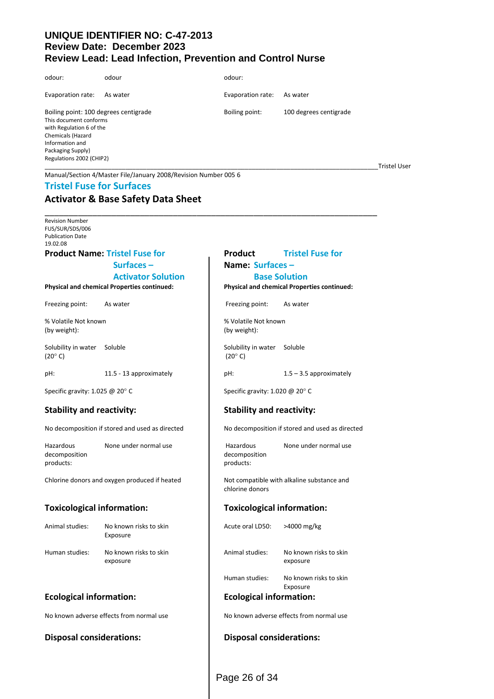| odour:                                                                                                                                                                               | odour                                                           | odour:            |                        |                     |
|--------------------------------------------------------------------------------------------------------------------------------------------------------------------------------------|-----------------------------------------------------------------|-------------------|------------------------|---------------------|
| Evaporation rate:                                                                                                                                                                    | As water                                                        | Evaporation rate: | As water               |                     |
| Boiling point: 100 degrees centigrade<br>This document conforms<br>with Regulation 6 of the<br>Chemicals (Hazard<br>Information and<br>Packaging Supply)<br>Regulations 2002 (CHIP2) |                                                                 | Boiling point:    | 100 degrees centigrade | <b>Tristel User</b> |
|                                                                                                                                                                                      | Manual/Section 4/Master File/January 2008/Revision Number 005 6 |                   |                        |                     |

#### **Tristel Fuse for Surfaces**

# **Activator & Base Safety Data Sheet**

\_\_\_\_\_\_\_\_\_\_\_\_\_\_\_\_\_\_\_\_\_\_\_\_\_\_\_\_\_\_\_\_\_\_\_\_\_\_\_\_\_\_\_\_\_\_\_\_\_\_\_\_\_\_\_\_\_\_\_\_\_\_\_\_\_\_\_\_\_\_ Revision Number FUS/SUR/SDS/006 Publication Date 19.02.08

#### **Product Name: Tristel Fuse for Product Tristel Fuse for**

#### **Physical and chemical Properties continued: Physical and chemical Properties continued:**

Freezing point: As water **Figure 2** As water **Freezing point:** As water

(by weight): (by weight):

Solubility in water Soluble Solubility in water Soluble (20 $^{\circ}$  C) (20 $^{\circ}$  C) (20 $^{\circ}$  C)

pH: 11.5 - 13 approximately pH: 1.5 – 3.5 approximately

Hazardous None under normal use Hazardous None under normal use decomposition decomposition decomposition products: products: products: products: products: products: products: products: products: products: products: products: products: products: products: products: products: products: products: products: products: products: pr

Chlorine donors and oxygen produced if heated Not compatible with alkaline substance and

#### **Toxicological information: Toxicological information:**

| Animal studies: | No known risks to skin<br>Exposure |
|-----------------|------------------------------------|
| Human studies:  | No known risks to skin             |

#### **Ecological information: Ecological information:**

No known adverse effects from normal use No known adverse effects from normal use

#### **Disposal considerations: Disposal considerations:**

# **Surfaces – Name: Surfaces – Activator Solution Base Solution**

% Volatile Not known % Volatile Not known

Specific gravity: 1.025 @ 20° C Specific gravity: 1.020 @ 20° C

#### **Stability and reactivity: Stability and reactivity:**

No decomposition if stored and used as directed No decomposition if stored and used as directed

chlorine donors

Acute oral LD50: >4000 mg/kg

Animal studies: No known risks to skin exposure exposure and the contract of the exposure exposure

> Human studies: No known risks to skin Exposure

Page 26 of 34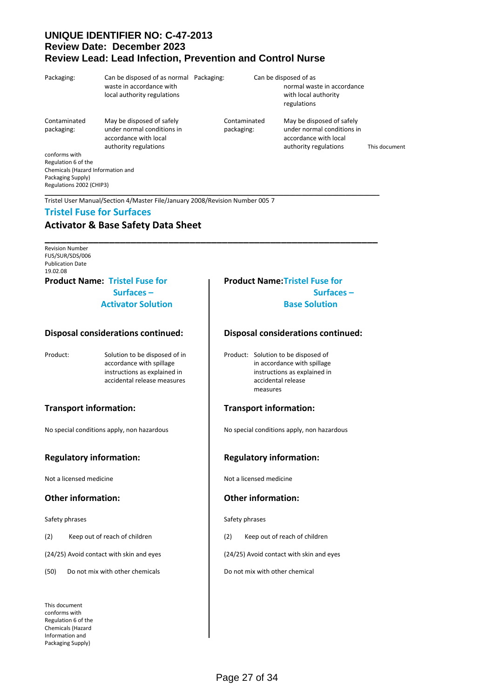| Packaging:                        | Can be disposed of as normal Packaging:<br>waste in accordance with<br>local authority regulations        |                            | Can be disposed of as |                                                                                                           |               |
|-----------------------------------|-----------------------------------------------------------------------------------------------------------|----------------------------|-----------------------|-----------------------------------------------------------------------------------------------------------|---------------|
|                                   |                                                                                                           |                            |                       | normal waste in accordance<br>with local authority<br>regulations                                         |               |
| Contaminated<br>packaging:        | May be disposed of safely<br>under normal conditions in<br>accordance with local<br>authority regulations | Contaminated<br>packaging: |                       | May be disposed of safely<br>under normal conditions in<br>accordance with local<br>authority regulations | This document |
| conforms with                     |                                                                                                           |                            |                       |                                                                                                           |               |
| Regulation 6 of the               |                                                                                                           |                            |                       |                                                                                                           |               |
| Chemicals (Hazard Information and |                                                                                                           |                            |                       |                                                                                                           |               |
| Packaging Supply)                 |                                                                                                           |                            |                       |                                                                                                           |               |

\_\_\_\_\_\_\_\_\_\_\_\_\_\_\_\_\_\_\_\_\_\_\_\_\_\_\_\_\_\_\_\_\_\_\_\_\_\_\_\_\_\_\_\_\_\_\_\_\_\_\_\_\_\_\_\_\_\_\_\_\_\_\_\_\_\_\_\_\_\_\_\_\_\_\_\_\_\_\_\_\_\_\_\_\_\_\_\_\_\_\_\_\_\_\_\_\_\_\_\_\_\_\_\_\_\_\_\_

Tristel User Manual/Section 4/Master File/January 2008/Revision Number 005 7

#### **Tristel Fuse for Surfaces**

# **Activator & Base Safety Data Sheet**

**\_\_\_\_\_\_\_\_\_\_\_\_\_\_\_\_\_\_\_\_\_\_\_\_\_\_\_\_\_\_\_\_\_\_\_\_\_\_\_\_\_\_\_\_\_\_\_\_\_\_\_\_\_\_\_\_\_\_\_\_\_\_** Revision Number FUS/SUR/SDS/006 Publication Date 19.02.08

Regulations 2002 (CHIP3)

# **Product Name: Tristel Fuse for Product Name:Tristel Fuse for**

#### **Disposal considerations continued: Disposal considerations continued:**

### **Regulatory information: Regulatory information:**

Not a licensed medicine Not a licensed medicine

#### **Other information: Other information:**

Safety phrases Safety phrases Safety phrases

(24/25) Avoid contact with skin and eyes (24/25) Avoid contact with skin and eyes

(50) Do not mix with other chemicals **Do not mix with other chemical** 

This document conforms with Regulation 6 of the Chemicals (Hazard Information and Packaging Supply)

# **Surfaces – Surfaces – Activator Solution Base Solution**

Product: Solution to be disposed of in Product: Solution to be disposed of accordance with spillage in accordance with spillage instructions as explained in instructions as explained in accidental release measures accidental release measures

#### **Transport information: Transport information:**

No special conditions apply, non hazardous No special conditions apply, non hazardous

(2) Keep out of reach of children (2) Keep out of reach of children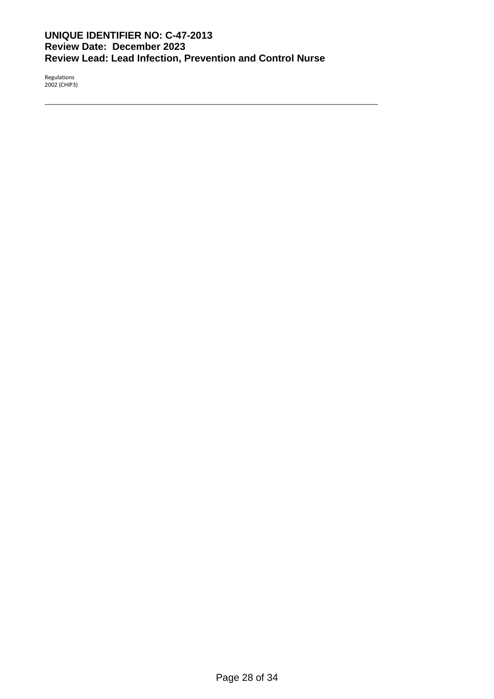\_\_\_\_\_\_\_\_\_\_\_\_\_\_\_\_\_\_\_\_\_\_\_\_\_\_\_\_\_\_\_\_\_\_\_\_\_\_\_\_\_\_\_\_\_\_\_\_\_\_\_\_\_\_\_\_\_\_\_\_\_\_\_\_\_\_\_\_\_\_\_\_\_\_\_\_\_\_\_\_\_\_\_\_\_\_\_\_\_\_\_\_\_\_\_

Regulations 2002 (CHIP3)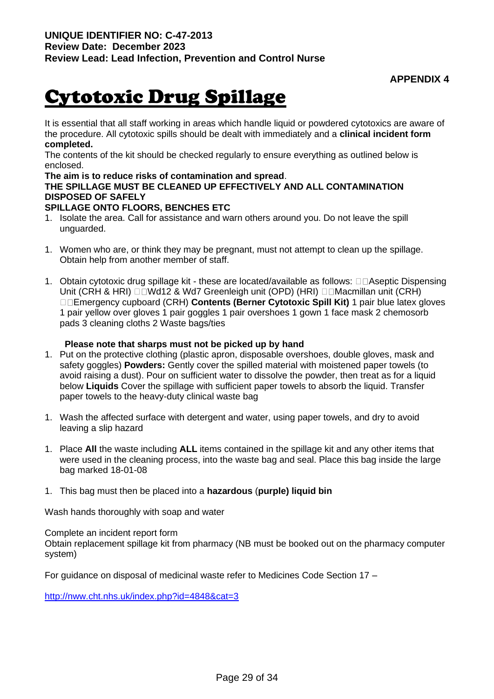# Cytotoxic Drug Spillage

It is essential that all staff working in areas which handle liquid or powdered cytotoxics are aware of the procedure. All cytotoxic spills should be dealt with immediately and a **clinical incident form completed.** 

The contents of the kit should be checked regularly to ensure everything as outlined below is enclosed.

### **The aim is to reduce risks of contamination and spread**.

# **THE SPILLAGE MUST BE CLEANED UP EFFECTIVELY AND ALL CONTAMINATION DISPOSED OF SAFELY**

# **SPILLAGE ONTO FLOORS, BENCHES ETC**

- 1. Isolate the area. Call for assistance and warn others around you. Do not leave the spill unguarded.
- 1. Women who are, or think they may be pregnant, must not attempt to clean up the spillage. Obtain help from another member of staff.
- 1. Obtain cytotoxic drug spillage kit these are located/available as follows:  $\Box\Box$ Aseptic Dispensing Unit (CRH & HRI) □□Wd12 & Wd7 Greenleigh unit (OPD) (HRI) □□Macmillan unit (CRH) Emergency cupboard (CRH) **Contents (Berner Cytotoxic Spill Kit)** 1 pair blue latex gloves 1 pair yellow over gloves 1 pair goggles 1 pair overshoes 1 gown 1 face mask 2 chemosorb pads 3 cleaning cloths 2 Waste bags/ties

## **Please note that sharps must not be picked up by hand**

- 1. Put on the protective clothing (plastic apron, disposable overshoes, double gloves, mask and safety goggles) **Powders:** Gently cover the spilled material with moistened paper towels (to avoid raising a dust). Pour on sufficient water to dissolve the powder, then treat as for a liquid below **Liquids** Cover the spillage with sufficient paper towels to absorb the liquid. Transfer paper towels to the heavy-duty clinical waste bag
- 1. Wash the affected surface with detergent and water, using paper towels, and dry to avoid leaving a slip hazard
- 1. Place **All** the waste including **ALL** items contained in the spillage kit and any other items that were used in the cleaning process, into the waste bag and seal. Place this bag inside the large bag marked 18-01-08
- 1. This bag must then be placed into a **hazardous** (**purple) liquid bin**

Wash hands thoroughly with soap and water

Complete an incident report form

Obtain replacement spillage kit from pharmacy (NB must be booked out on the pharmacy computer system)

For guidance on disposal of medicinal waste refer to Medicines Code Section 17 –

<http://nww.cht.nhs.uk/index.php?id=4848&cat=3>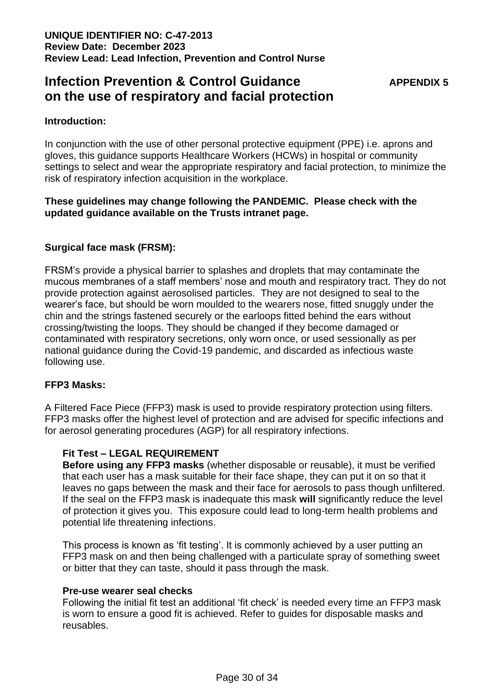# **Infection Prevention & Control Guidance** *APPENDIX 5* **on the use of respiratory and facial protection**

# **Introduction:**

In conjunction with the use of other personal protective equipment (PPE) i.e. aprons and gloves, this guidance supports Healthcare Workers (HCWs) in hospital or community settings to select and wear the appropriate respiratory and facial protection, to minimize the risk of respiratory infection acquisition in the workplace.

# **These guidelines may change following the PANDEMIC. Please check with the updated guidance available on the Trusts intranet page.**

# **Surgical face mask (FRSM):**

FRSM's provide a physical barrier to splashes and droplets that may contaminate the mucous membranes of a staff members' nose and mouth and respiratory tract. They do not provide protection against aerosolised particles. They are not designed to seal to the wearer's face, but should be worn moulded to the wearers nose, fitted snuggly under the chin and the strings fastened securely or the earloops fitted behind the ears without crossing/twisting the loops. They should be changed if they become damaged or contaminated with respiratory secretions, only worn once, or used sessionally as per national guidance during the Covid-19 pandemic, and discarded as infectious waste following use.

# **FFP3 Masks:**

A Filtered Face Piece (FFP3) mask is used to provide respiratory protection using filters. FFP3 masks offer the highest level of protection and are advised for specific infections and for aerosol generating procedures (AGP) for all respiratory infections.

# **Fit Test – LEGAL REQUIREMENT**

**Before using any FFP3 masks** (whether disposable or reusable), it must be verified that each user has a mask suitable for their face shape, they can put it on so that it leaves no gaps between the mask and their face for aerosols to pass though unfiltered. If the seal on the FFP3 mask is inadequate this mask **will** significantly reduce the level of protection it gives you. This exposure could lead to long-term health problems and potential life threatening infections.

This process is known as 'fit testing'. It is commonly achieved by a user putting an FFP3 mask on and then being challenged with a particulate spray of something sweet or bitter that they can taste, should it pass through the mask.

### **Pre-use wearer seal checks**

Following the initial fit test an additional 'fit check' is needed every time an FFP3 mask is worn to ensure a good fit is achieved. Refer to guides for disposable masks and reusables.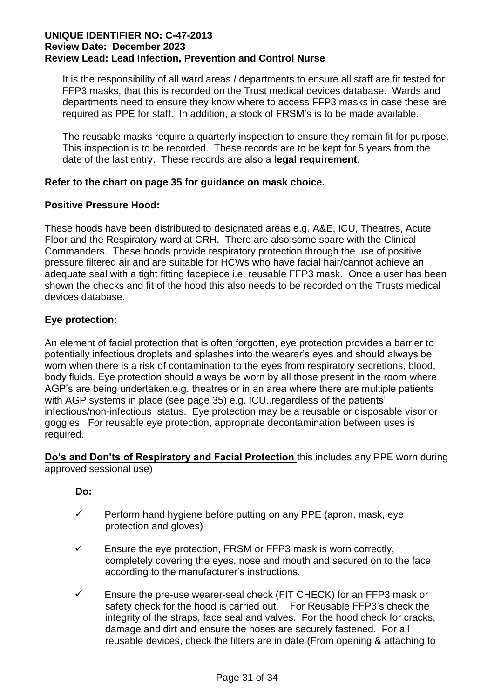It is the responsibility of all ward areas / departments to ensure all staff are fit tested for FFP3 masks, that this is recorded on the Trust medical devices database. Wards and departments need to ensure they know where to access FFP3 masks in case these are required as PPE for staff. In addition, a stock of FRSM's is to be made available.

The reusable masks require a quarterly inspection to ensure they remain fit for purpose. This inspection is to be recorded. These records are to be kept for 5 years from the date of the last entry. These records are also a **legal requirement**.

# **Refer to the chart on page 35 for guidance on mask choice.**

# **Positive Pressure Hood:**

These hoods have been distributed to designated areas e.g. A&E, ICU, Theatres, Acute Floor and the Respiratory ward at CRH. There are also some spare with the Clinical Commanders. These hoods provide respiratory protection through the use of positive pressure filtered air and are suitable for HCWs who have facial hair/cannot achieve an adequate seal with a tight fitting facepiece i.e. reusable FFP3 mask. Once a user has been shown the checks and fit of the hood this also needs to be recorded on the Trusts medical devices database.

# **Eye protection:**

An element of facial protection that is often forgotten, eye protection provides a barrier to potentially infectious droplets and splashes into the wearer's eyes and should always be worn when there is a risk of contamination to the eyes from respiratory secretions, blood, body fluids. Eye protection should always be worn by all those present in the room where AGP's are being undertaken.e.g. theatres or in an area where there are multiple patients with AGP systems in place (see page 35) e.g. ICU..regardless of the patients' infectious/non-infectious status. Eye protection may be a reusable or disposable visor or goggles. For reusable eye protection, appropriate decontamination between uses is required.

**Do's and Don'ts of Respiratory and Facial Protection** this includes any PPE worn during approved sessional use)

# **Do:**

- ✓ Perform hand hygiene before putting on any PPE (apron, mask, eye protection and gloves)
- $\checkmark$  Ensure the eye protection, FRSM or FFP3 mask is worn correctly, completely covering the eyes, nose and mouth and secured on to the face according to the manufacturer's instructions.
- $\checkmark$  Ensure the pre-use wearer-seal check (FIT CHECK) for an FFP3 mask or safety check for the hood is carried out. For Reusable FFP3's check the integrity of the straps, face seal and valves. For the hood check for cracks, damage and dirt and ensure the hoses are securely fastened. For all reusable devices, check the filters are in date (From opening & attaching to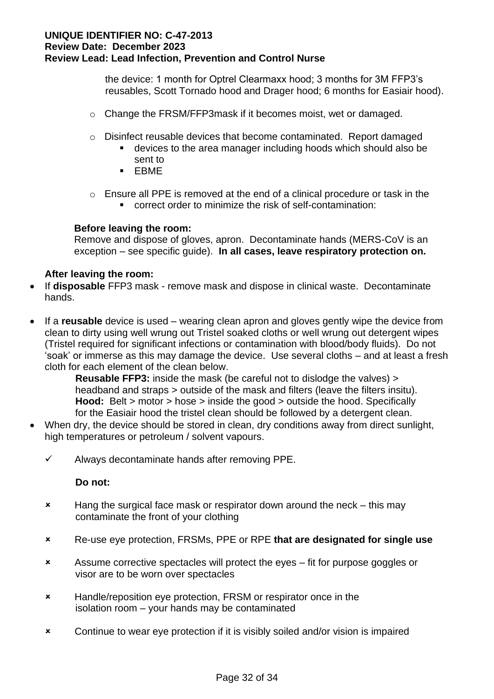the device: 1 month for Optrel Clearmaxx hood; 3 months for 3M FFP3's reusables, Scott Tornado hood and Drager hood; 6 months for Easiair hood).

- o Change the FRSM/FFP3mask if it becomes moist, wet or damaged.
- $\circ$  Disinfect reusable devices that become contaminated. Report damaged
	- devices to the area manager including hoods which should also be sent to
	- EBME
- o Ensure all PPE is removed at the end of a clinical procedure or task in the
	- correct order to minimize the risk of self-contamination:

# **Before leaving the room:**

Remove and dispose of gloves, apron. Decontaminate hands (MERS-CoV is an exception – see specific guide). **In all cases, leave respiratory protection on.**

# **After leaving the room:**

- If **disposable** FFP3 mask remove mask and dispose in clinical waste. Decontaminate hands.
- If a **reusable** device is used wearing clean apron and gloves gently wipe the device from clean to dirty using well wrung out Tristel soaked cloths or well wrung out detergent wipes (Tristel required for significant infections or contamination with blood/body fluids). Do not 'soak' or immerse as this may damage the device. Use several cloths – and at least a fresh cloth for each element of the clean below.

 **Reusable FFP3:** inside the mask (be careful not to dislodge the valves) > headband and straps > outside of the mask and filters (leave the filters insitu). **Hood:** Belt > motor > hose > inside the good > outside the hood. Specifically for the Easiair hood the tristel clean should be followed by a detergent clean.

- When dry, the device should be stored in clean, dry conditions away from direct sunlight, high temperatures or petroleum / solvent vapours.
	- $\checkmark$  Always decontaminate hands after removing PPE.

### **Do not:**

- **\*** Hang the surgical face mask or respirator down around the neck this may contaminate the front of your clothing
- Re-use eye protection, FRSMs, PPE or RPE **that are designated for single use**
- Assume corrective spectacles will protect the eyes fit for purpose goggles or visor are to be worn over spectacles
- **\*** Handle/reposition eye protection, FRSM or respirator once in the isolation room – your hands may be contaminated
- Continue to wear eye protection if it is visibly soiled and/or vision is impaired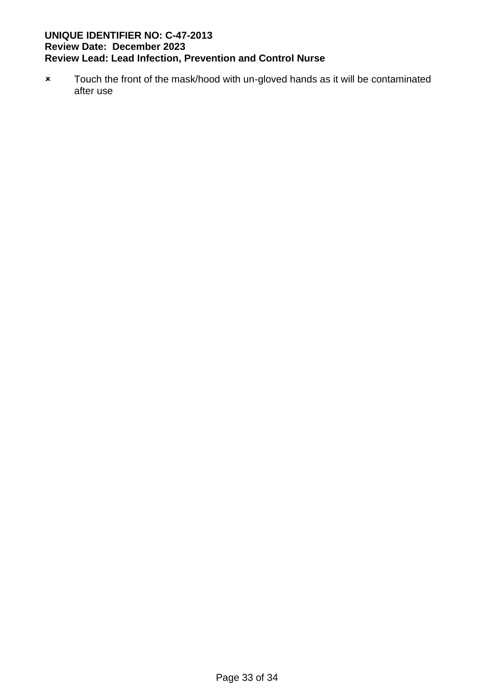\* Touch the front of the mask/hood with un-gloved hands as it will be contaminated after use